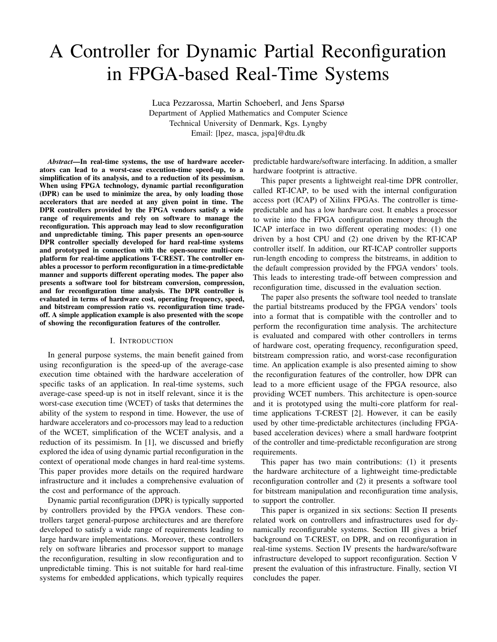# A Controller for Dynamic Partial Reconfiguration in FPGA-based Real-Time Systems

Luca Pezzarossa, Martin Schoeberl, and Jens Sparsø Department of Applied Mathematics and Computer Science Technical University of Denmark, Kgs. Lyngby Email: [lpez, masca, jspa]@dtu.dk

*Abstract*—In real-time systems, the use of hardware accelerators can lead to a worst-case execution-time speed-up, to a simplification of its analysis, and to a reduction of its pessimism. When using FPGA technology, dynamic partial reconfiguration (DPR) can be used to minimize the area, by only loading those accelerators that are needed at any given point in time. The DPR controllers provided by the FPGA vendors satisfy a wide range of requirements and rely on software to manage the reconfiguration. This approach may lead to slow reconfiguration and unpredictable timing. This paper presents an open-source DPR controller specially developed for hard real-time systems and prototyped in connection with the open-source multi-core platform for real-time applications T-CREST. The controller enables a processor to perform reconfiguration in a time-predictable manner and supports different operating modes. The paper also presents a software tool for bitstream conversion, compression, and for reconfiguration time analysis. The DPR controller is evaluated in terms of hardware cost, operating frequency, speed, and bitstream compression ratio vs. reconfiguration time tradeoff. A simple application example is also presented with the scope of showing the reconfiguration features of the controller.

# I. INTRODUCTION

In general purpose systems, the main benefit gained from using reconfiguration is the speed-up of the average-case execution time obtained with the hardware acceleration of specific tasks of an application. In real-time systems, such average-case speed-up is not in itself relevant, since it is the worst-case execution time (WCET) of tasks that determines the ability of the system to respond in time. However, the use of hardware accelerators and co-processors may lead to a reduction of the WCET, simplification of the WCET analysis, and a reduction of its pessimism. In [1], we discussed and briefly explored the idea of using dynamic partial reconfiguration in the context of operational mode changes in hard real-time systems. This paper provides more details on the required hardware infrastructure and it includes a comprehensive evaluation of the cost and performance of the approach.

Dynamic partial reconfiguration (DPR) is typically supported by controllers provided by the FPGA vendors. These controllers target general-purpose architectures and are therefore developed to satisfy a wide range of requirements leading to large hardware implementations. Moreover, these controllers rely on software libraries and processor support to manage the reconfiguration, resulting in slow reconfiguration and to unpredictable timing. This is not suitable for hard real-time systems for embedded applications, which typically requires

predictable hardware/software interfacing. In addition, a smaller hardware footprint is attractive.

This paper presents a lightweight real-time DPR controller, called RT-ICAP, to be used with the internal configuration access port (ICAP) of Xilinx FPGAs. The controller is timepredictable and has a low hardware cost. It enables a processor to write into the FPGA configuration memory through the ICAP interface in two different operating modes: (1) one driven by a host CPU and (2) one driven by the RT-ICAP controller itself. In addition, our RT-ICAP controller supports run-length encoding to compress the bitstreams, in addition to the default compression provided by the FPGA vendors' tools. This leads to interesting trade-off between compression and reconfiguration time, discussed in the evaluation section.

The paper also presents the software tool needed to translate the partial bitstreams produced by the FPGA vendors' tools into a format that is compatible with the controller and to perform the reconfiguration time analysis. The architecture is evaluated and compared with other controllers in terms of hardware cost, operating frequency, reconfiguration speed, bitstream compression ratio, and worst-case reconfiguration time. An application example is also presented aiming to show the reconfiguration features of the controller, how DPR can lead to a more efficient usage of the FPGA resource, also providing WCET numbers. This architecture is open-source and it is prototyped using the multi-core platform for realtime applications T-CREST [2]. However, it can be easily used by other time-predictable architectures (including FPGAbased acceleration devices) where a small hardware footprint of the controller and time-predictable reconfiguration are strong requirements.

This paper has two main contributions: (1) it presents the hardware architecture of a lightweight time-predictable reconfiguration controller and (2) it presents a software tool for bitstream manipulation and reconfiguration time analysis, to support the controller.

This paper is organized in six sections: Section II presents related work on controllers and infrastructures used for dynamically reconfigurable systems. Section III gives a brief background on T-CREST, on DPR, and on reconfiguration in real-time systems. Section IV presents the hardware/software infrastructure developed to support reconfiguration. Section V present the evaluation of this infrastructure. Finally, section VI concludes the paper.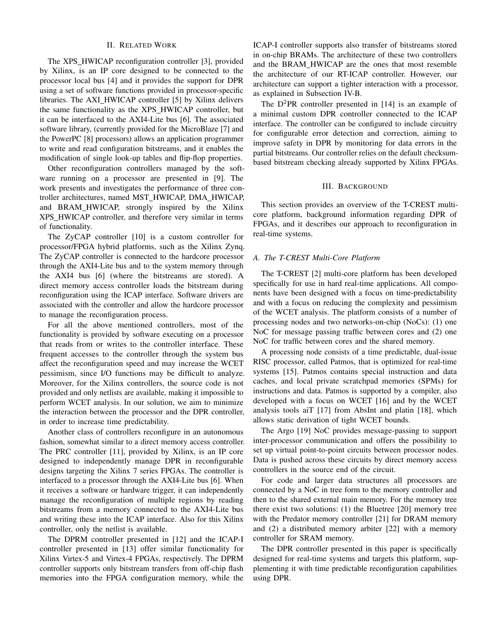#### II. RELATED WORK

The XPS HWICAP reconfiguration controller [3], provided by Xilinx, is an IP core designed to be connected to the processor local bus [4] and it provides the support for DPR using a set of software functions provided in processor-specific libraries. The AXI HWICAP controller [5] by Xilinx delivers the same functionality as the XPS\_HWICAP controller, but it can be interfaced to the AXI4-Lite bus [6]. The associated software library, (currently provided for the MicroBlaze [7] and the PowerPC [8] processors) allows an application programmer to write and read configuration bitstreams, and it enables the modification of single look-up tables and flip-flop properties.

Other reconfiguration controllers managed by the software running on a processor are presented in [9]. The work presents and investigates the performance of three controller architectures, named MST HWICAP, DMA HWICAP, and BRAM HWICAP, strongly inspired by the Xilinx XPS HWICAP controller, and therefore very similar in terms of functionality.

The ZyCAP controller [10] is a custom controller for processor/FPGA hybrid platforms, such as the Xilinx Zynq. The ZyCAP controller is connected to the hardcore processor through the AXI4-Lite bus and to the system memory through the AXI4 bus [6] (where the bitstreams are stored). A direct memory access controller loads the bitstream during reconfiguration using the ICAP interface. Software drivers are associated with the controller and allow the hardcore processor to manage the reconfiguration process.

For all the above mentioned controllers, most of the functionality is provided by software executing on a processor that reads from or writes to the controller interface. These frequent accesses to the controller through the system bus affect the reconfiguration speed and may increase the WCET pessimism, since I/O functions may be difficult to analyze. Moreover, for the Xilinx controllers, the source code is not provided and only netlists are available, making it impossible to perform WCET analysis. In our solution, we aim to minimize the interaction between the processor and the DPR controller, in order to increase time predictability.

Another class of controllers reconfigure in an autonomous fashion, somewhat similar to a direct memory access controller. The PRC controller [11], provided by Xilinx, is an IP core designed to independently manage DPR in reconfigurable designs targeting the Xilinx 7 series FPGAs. The controller is interfaced to a processor through the AXI4-Lite bus [6]. When it receives a software or hardware trigger, it can independently manage the reconfiguration of multiple regions by reading bitstreams from a memory connected to the AXI4-Lite bus and writing these into the ICAP interface. Also for this Xilinx controller, only the netlist is available.

The DPRM controller presented in [12] and the ICAP-I controller presented in [13] offer similar functionality for Xilinx Virtex-5 and Virtex-4 FPGAs, respectively. The DPRM controller supports only bitstream transfers from off-chip flash memories into the FPGA configuration memory, while the ICAP-I controller supports also transfer of bitstreams stored in on-chip BRAMs. The architecture of these two controllers and the BRAM HWICAP are the ones that most resemble the architecture of our RT-ICAP controller. However, our architecture can support a tighter interaction with a processor, as explained in Subsection IV-B.

The  $D^2$ PR controller presented in [14] is an example of a minimal custom DPR controller connected to the ICAP interface. The controller can be configured to include circuitry for configurable error detection and correction, aiming to improve safety in DPR by monitoring for data errors in the partial bitstreams. Our controller relies on the default checksumbased bitstream checking already supported by Xilinx FPGAs.

# III. BACKGROUND

This section provides an overview of the T-CREST multicore platform, background information regarding DPR of FPGAs, and it describes our approach to reconfiguration in real-time systems.

## *A. The T-CREST Multi-Core Platform*

The T-CREST [2] multi-core platform has been developed specifically for use in hard real-time applications. All components have been designed with a focus on time-predictability and with a focus on reducing the complexity and pessimism of the WCET analysis. The platform consists of a number of processing nodes and two networks-on-chip (NoCs): (1) one NoC for message passing traffic between cores and (2) one NoC for traffic between cores and the shared memory.

A processing node consists of a time predictable, dual-issue RISC processor, called Patmos, that is optimized for real-time systems [15]. Patmos contains special instruction and data caches, and local private scratchpad memories (SPMs) for instructions and data. Patmos is supported by a compiler, also developed with a focus on WCET [16] and by the WCET analysis tools aiT [17] from AbsInt and platin [18], which allows static derivation of tight WCET bounds.

The Argo [19] NoC provides message-passing to support inter-processor communication and offers the possibility to set up virtual point-to-point circuits between processor nodes. Data is pushed across these circuits by direct memory access controllers in the source end of the circuit.

For code and larger data structures all processors are connected by a NoC in tree form to the memory controller and then to the shared external main memory. For the memory tree there exist two solutions: (1) the Bluetree [20] memory tree with the Predator memory controller [21] for DRAM memory and (2) a distributed memory arbiter [22] with a memory controller for SRAM memory.

The DPR controller presented in this paper is specifically designed for real-time systems and targets this platform, supplementing it with time predictable reconfiguration capabilities using DPR.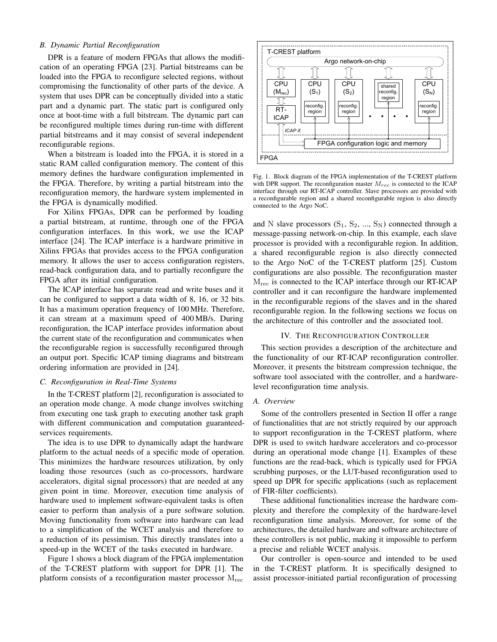# *B. Dynamic Partial Reconfiguration*

DPR is a feature of modern FPGAs that allows the modification of an operating FPGA [23]. Partial bitstreams can be loaded into the FPGA to reconfigure selected regions, without compromising the functionality of other parts of the device. A system that uses DPR can be conceptually divided into a static part and a dynamic part. The static part is configured only once at boot-time with a full bitstream. The dynamic part can be reconfigured multiple times during run-time with different partial bitstreams and it may consist of several independent reconfigurable regions.

When a bitstream is loaded into the FPGA, it is stored in a static RAM called configuration memory. The content of this memory defines the hardware configuration implemented in the FPGA. Therefore, by writing a partial bitstream into the reconfiguration memory, the hardware system implemented in the FPGA is dynamically modified.

For Xilinx FPGAs, DPR can be performed by loading a partial bitstream, at runtime, through one of the FPGA configuration interfaces. In this work, we use the ICAP interface [24]. The ICAP interface is a hardware primitive in Xilinx FPGAs that provides access to the FPGA configuration memory. It allows the user to access configuration registers, read-back configuration data, and to partially reconfigure the FPGA after its initial configuration.

The ICAP interface has separate read and write buses and it can be configured to support a data width of 8, 16, or 32 bits. It has a maximum operation frequency of 100 MHz. Therefore, it can stream at a maximum speed of 400 MB/s. During reconfiguration, the ICAP interface provides information about the current state of the reconfiguration and communicates when the reconfigurable region is successfully reconfigured through an output port. Specific ICAP timing diagrams and bitstream ordering information are provided in [24].

# *C. Reconfiguration in Real-Time Systems*

In the T-CREST platform [2], reconfiguration is associated to an operation mode change. A mode change involves switching from executing one task graph to executing another task graph with different communication and computation guaranteedservices requirements.

The idea is to use DPR to dynamically adapt the hardware platform to the actual needs of a specific mode of operation. This minimizes the hardware resources utilization, by only loading those resources (such as co-processors, hardware accelerators, digital signal processors) that are needed at any given point in time. Moreover, execution time analysis of hardware used to implement software-equivalent tasks is often easier to perform than analysis of a pure software solution. Moving functionality from software into hardware can lead to a simplification of the WCET analysis and therefore to a reduction of its pessimism. This directly translates into a speed-up in the WCET of the tasks executed in hardware.

Figure 1 shows a block diagram of the FPGA implementation of the T-CREST platform with support for DPR [1]. The platform consists of a reconfiguration master processor  $M_{rec}$ 



Fig. 1. Block diagram of the FPGA implementation of the T-CREST platform with DPR support. The reconfiguration master  $M_{rec}$  is connected to the ICAP interface through our RT-ICAP controller. Slave processors are provided with a reconfigurable region and a shared reconfigurable region is also directly connected to the Argo NoC.

and N slave processors  $(S_1, S_2, ..., S_N)$  connected through a message-passing network-on-chip. In this example, each slave processor is provided with a reconfigurable region. In addition, a shared reconfigurable region is also directly connected to the Argo NoC of the T-CREST platform [25]. Custom configurations are also possible. The reconfiguration master Mrec is connected to the ICAP interface through our RT-ICAP controller and it can reconfigure the hardware implemented in the reconfigurable regions of the slaves and in the shared reconfigurable region. In the following sections we focus on the architecture of this controller and the associated tool.

## IV. THE RECONFIGURATION CONTROLLER

This section provides a description of the architecture and the functionality of our RT-ICAP reconfiguration controller. Moreover, it presents the bitstream compression technique, the software tool associated with the controller, and a hardwarelevel reconfiguration time analysis.

#### *A. Overview*

Some of the controllers presented in Section II offer a range of functionalities that are not strictly required by our approach to support reconfiguration in the T-CREST platform, where DPR is used to switch hardware accelerators and co-processor during an operational mode change [1]. Examples of these functions are the read-back, which is typically used for FPGA scrubbing purposes, or the LUT-based reconfiguration used to speed up DPR for specific applications (such as replacement of FIR-filter coefficients).

These additional functionalities increase the hardware complexity and therefore the complexity of the hardware-level reconfiguration time analysis. Moreover, for some of the architectures, the detailed hardware and software architecture of these controllers is not public, making it impossible to perform a precise and reliable WCET analysis.

Our controller is open-source and intended to be used in the T-CREST platform. It is specifically designed to assist processor-initiated partial reconfiguration of processing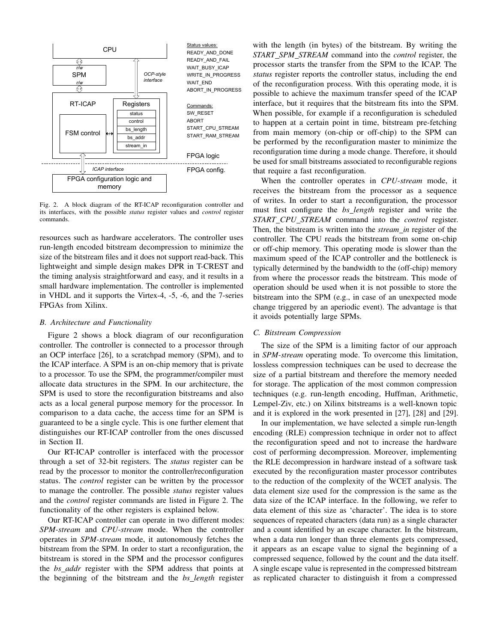

Fig. 2. A block diagram of the RT-ICAP reconfiguration controller and its interfaces, with the possible *status* register values and *control* register commands.

resources such as hardware accelerators. The controller uses run-length encoded bitstream decompression to minimize the size of the bitstream files and it does not support read-back. This lightweight and simple design makes DPR in T-CREST and the timing analysis straightforward and easy, and it results in a small hardware implementation. The controller is implemented in VHDL and it supports the Virtex-4, -5, -6, and the 7-series FPGAs from Xilinx.

#### *B. Architecture and Functionality*

Figure 2 shows a block diagram of our reconfiguration controller. The controller is connected to a processor through an OCP interface [26], to a scratchpad memory (SPM), and to the ICAP interface. A SPM is an on-chip memory that is private to a processor. To use the SPM, the programmer/compiler must allocate data structures in the SPM. In our architecture, the SPM is used to store the reconfiguration bitstreams and also acts as a local general purpose memory for the processor. In comparison to a data cache, the access time for an SPM is guaranteed to be a single cycle. This is one further element that distinguishes our RT-ICAP controller from the ones discussed in Section II.

Our RT-ICAP controller is interfaced with the processor through a set of 32-bit registers. The *status* register can be read by the processor to monitor the controller/reconfiguration status. The *control* register can be written by the processor to manage the controller. The possible *status* register values and the *control* register commands are listed in Figure 2. The functionality of the other registers is explained below.

Our RT-ICAP controller can operate in two different modes: *SPM-stream* and *CPU-stream* mode. When the controller operates in *SPM-stream* mode, it autonomously fetches the bitstream from the SPM. In order to start a reconfiguration, the bitstream is stored in the SPM and the processor configures the *bs addr* register with the SPM address that points at the beginning of the bitstream and the *bs length* register

with the length (in bytes) of the bitstream. By writing the *START SPM STREAM* command into the *control* register, the processor starts the transfer from the SPM to the ICAP. The *status* register reports the controller status, including the end of the reconfiguration process. With this operating mode, it is possible to achieve the maximum transfer speed of the ICAP interface, but it requires that the bitstream fits into the SPM. When possible, for example if a reconfiguration is scheduled to happen at a certain point in time, bitstream pre-fetching from main memory (on-chip or off-chip) to the SPM can be performed by the reconfiguration master to minimize the reconfiguration time during a mode change. Therefore, it should be used for small bitstreams associated to reconfigurable regions that require a fast reconfiguration.

When the controller operates in *CPU-stream* mode, it receives the bitstream from the processor as a sequence of writes. In order to start a reconfiguration, the processor must first configure the *bs length* register and write the *START CPU STREAM* command into the *control* register. Then, the bitstream is written into the *stream in* register of the controller. The CPU reads the bitstream from some on-chip or off-chip memory. This operating mode is slower than the maximum speed of the ICAP controller and the bottleneck is typically determined by the bandwidth to the (off-chip) memory from where the processor reads the bitstream. This mode of operation should be used when it is not possible to store the bitstream into the SPM (e.g., in case of an unexpected mode change triggered by an aperiodic event). The advantage is that it avoids potentially large SPMs.

# *C. Bitstream Compression*

The size of the SPM is a limiting factor of our approach in *SPM-stream* operating mode. To overcome this limitation, lossless compression techniques can be used to decrease the size of a partial bitstream and therefore the memory needed for storage. The application of the most common compression techniques (e.g. run-length encoding, Huffman, Arithmetic, Lempel-Ziv, etc.) on Xilinx bitstreams is a well-known topic and it is explored in the work presented in [27], [28] and [29].

In our implementation, we have selected a simple run-length encoding (RLE) compression technique in order not to affect the reconfiguration speed and not to increase the hardware cost of performing decompression. Moreover, implementing the RLE decompression in hardware instead of a software task executed by the reconfiguration master processor contributes to the reduction of the complexity of the WCET analysis. The data element size used for the compression is the same as the data size of the ICAP interface. In the following, we refer to data element of this size as 'character'. The idea is to store sequences of repeated characters (data run) as a single character and a count identified by an escape character. In the bitstream, when a data run longer than three elements gets compressed, it appears as an escape value to signal the beginning of a compressed sequence, followed by the count and the data itself. A single escape value is represented in the compressed bitstream as replicated character to distinguish it from a compressed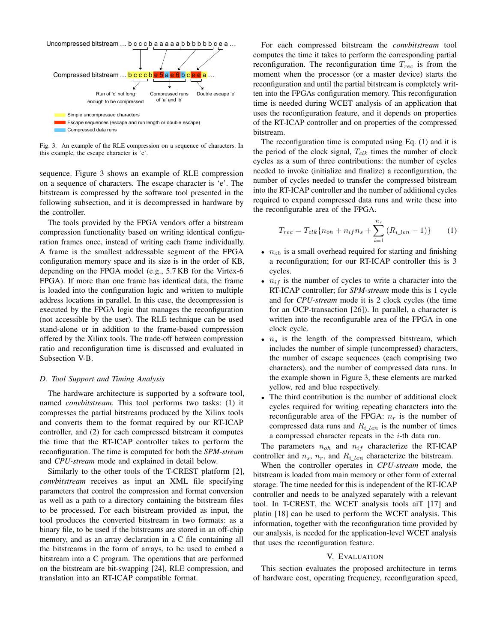

Fig. 3. An example of the RLE compression on a sequence of characters. In this example, the escape character is 'e'.

sequence. Figure 3 shows an example of RLE compression on a sequence of characters. The escape character is 'e'. The bitstream is compressed by the software tool presented in the following subsection, and it is decompressed in hardware by the controller.

The tools provided by the FPGA vendors offer a bitstream compression functionality based on writing identical configuration frames once, instead of writing each frame individually. A frame is the smallest addressable segment of the FPGA configuration memory space and its size is in the order of KB, depending on the FPGA model (e.g., 5.7 KB for the Virtex-6 FPGA). If more than one frame has identical data, the frame is loaded into the configuration logic and written to multiple address locations in parallel. In this case, the decompression is executed by the FPGA logic that manages the reconfiguration (not accessible by the user). The RLE technique can be used stand-alone or in addition to the frame-based compression offered by the Xilinx tools. The trade-off between compression ratio and reconfiguration time is discussed and evaluated in Subsection V-B.

# *D. Tool Support and Timing Analysis*

The hardware architecture is supported by a software tool, named *convbitstream*. This tool performs two tasks: (1) it compresses the partial bitstreams produced by the Xilinx tools and converts them to the format required by our RT-ICAP controller, and (2) for each compressed bitstream it computes the time that the RT-ICAP controller takes to perform the reconfiguration. The time is computed for both the *SPM-stream* and *CPU-stream* mode and explained in detail below.

Similarly to the other tools of the T-CREST platform [2], *convbitstream* receives as input an XML file specifying parameters that control the compression and format conversion as well as a path to a directory containing the bitstream files to be processed. For each bitstream provided as input, the tool produces the converted bitstream in two formats: as a binary file, to be used if the bitstreams are stored in an off-chip memory, and as an array declaration in a C file containing all the bitstreams in the form of arrays, to be used to embed a bitstream into a C program. The operations that are performed on the bitstream are bit-swapping [24], RLE compression, and translation into an RT-ICAP compatible format.

For each compressed bitstream the *convbitstream* tool computes the time it takes to perform the corresponding partial reconfiguration. The reconfiguration time  $T_{rec}$  is from the moment when the processor (or a master device) starts the reconfiguration and until the partial bitstream is completely written into the FPGAs configuration memory. This reconfiguration time is needed during WCET analysis of an application that uses the reconfiguration feature, and it depends on properties of the RT-ICAP controller and on properties of the compressed bitstream.

The reconfiguration time is computed using Eq. (1) and it is the period of the clock signal,  $T_{clk}$  times the number of clock cycles as a sum of three contributions: the number of cycles needed to invoke (initialize and finalize) a reconfiguration, the number of cycles needed to transfer the compressed bitstream into the RT-ICAP controller and the number of additional cycles required to expand compressed data runs and write these into the reconfigurable area of the FPGA.

$$
T_{rec} = T_{clk} \{ n_{oh} + n_{if} n_s + \sum_{i=1}^{n_r} (R_{i\_len} - 1) \}
$$
 (1)

- $n_{oh}$  is a small overhead required for starting and finishing a reconfiguration; for our RT-ICAP controller this is 3 cycles.
- $n_{if}$  is the number of cycles to write a character into the RT-ICAP controller; for *SPM-stream* mode this is 1 cycle and for *CPU-stream* mode it is 2 clock cycles (the time for an OCP-transaction [26]). In parallel, a character is written into the reconfigurable area of the FPGA in one clock cycle.
- $n_s$  is the length of the compressed bitstream, which includes the number of simple (uncompressed) characters, the number of escape sequences (each comprising two characters), and the number of compressed data runs. In the example shown in Figure 3, these elements are marked yellow, red and blue respectively.
- The third contribution is the number of additional clock cycles required for writing repeating characters into the reconfigurable area of the FPGA:  $n_r$  is the number of compressed data runs and  $R_{i\_len}$  is the number of times a compressed character repeats in the  $i$ -th data run.

The parameters  $n_{oh}$  and  $n_{if}$  characterize the RT-ICAP controller and  $n_s$ ,  $n_r$ , and  $R_{i\_len}$  characterize the bitstream.

When the controller operates in *CPU-stream* mode, the bitstream is loaded from main memory or other form of external storage. The time needed for this is independent of the RT-ICAP controller and needs to be analyzed separately with a relevant tool. In T-CREST, the WCET analysis tools aiT [17] and platin [18] can be used to perform the WCET analysis. This information, together with the reconfiguration time provided by our analysis, is needed for the application-level WCET analysis that uses the reconfiguration feature.

# V. EVALUATION

This section evaluates the proposed architecture in terms of hardware cost, operating frequency, reconfiguration speed,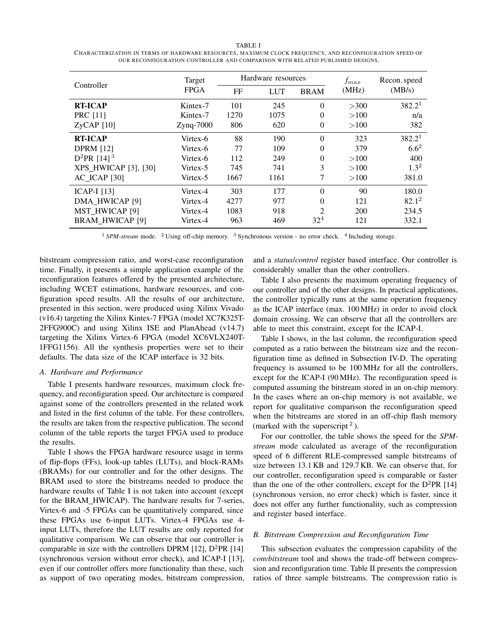TABLE I CHARACTERIZATION IN TERMS OF HARDWARE RESOURCES, MAXIMUM CLOCK FREQUENCY, AND RECONFIGURATION SPEED OF OUR RECONFIGURATION CONTROLLER AND COMPARISON WITH RELATED PUBLISHED DESIGNS.

| Controller                 | Target<br><b>FPGA</b> |      | Hardware resources | $f_{max}$      | Recon. speed |                    |
|----------------------------|-----------------------|------|--------------------|----------------|--------------|--------------------|
|                            |                       | FF   | <b>LUT</b>         | <b>BRAM</b>    | (MHz)        | (MB/s)             |
| <b>RT-ICAP</b>             | Kintex-7              | 101  | 245                | $\theta$       | >300         | 382.2 <sup>1</sup> |
| <b>PRC</b> [11]            | Kintex-7              | 1270 | 1075               | $\theta$       | >100         | n/a                |
| $ZyCAP$ [10]               | $Z$ ynq-7000          | 806  | 620                | $\theta$       | >100         | 382                |
| <b>RT-ICAP</b>             | Virtex-6              | 88   | 190                | $\theta$       | 323          | 382.2 <sup>1</sup> |
| <b>DPRM</b> [12]           | Virtex-6              | 77   | 109                | $\theta$       | 379          | $6.6^2$            |
| $D^2$ PR [14] <sup>3</sup> | Virtex-6              | 112  | 249                | $\theta$       | >100         | 400                |
| XPS_HWICAP [3], [30]       | Virtex-5              | 745  | 741                | 3              | >100         | 1.3 <sup>2</sup>   |
| $AC$ $ICAP$ $[30]$         | Virtex-5              | 1667 | 1161               | 7              | >100         | 381.0              |
| $ICAP-I [13]$              | Virtex-4              | 303  | 177                | $\theta$       | 90           | 180.0              |
| DMA HWICAP [9]             | Virtex-4              | 4277 | 977                | $\theta$       | 121          | $82.1^2$           |
| MST HWICAP [9]             | Virtex-4              | 1083 | 918                | $\mathfrak{D}$ | 200          | 234.5              |
| <b>BRAM_HWICAP [9]</b>     | Virtex-4              | 963  | 469                | $32^{4}$       | 121          | 332.1              |

<sup>1</sup> SPM-stream mode. <sup>2</sup> Using off-chip memory. <sup>3</sup> Synchronous version - no error check. <sup>4</sup> Including storage.

bitstream compression ratio, and worst-case reconfiguration time. Finally, it presents a simple application example of the reconfiguration features offered by the presented architecture, including WCET estimations, hardware resources, and configuration speed results. All the results of our architecture, presented in this section, were produced using Xilinx Vivado (v16.4) targeting the Xilinx Kintex-7 FPGA (model XC7K325T-2FFG900C) and using Xilinx ISE and PlanAhead (v14.7) targeting the Xilinx Virtex-6 FPGA (model XC6VLX240T-1FFG1156). All the synthesis properties were set to their defaults. The data size of the ICAP interface is 32 bits.

#### *A. Hardware and Performance*

Table I presents hardware resources, maximum clock frequency, and reconfiguration speed. Our architecture is compared against some of the controllers presented in the related work and listed in the first column of the table. For these controllers, the results are taken from the respective publication. The second column of the table reports the target FPGA used to produce the results.

Table I shows the FPGA hardware resource usage in terms of flip-flops (FFs), look-up tables (LUTs), and block-RAMs (BRAMs) for our controller and for the other designs. The BRAM used to store the bitstreams needed to produce the hardware results of Table I is not taken into account (except for the BRAM HWICAP). The hardware results for 7-series, Virtex-6 and -5 FPGAs can be quantitatively compared, since these FPGAs use 6-input LUTs. Virtex-4 FPGAs use 4 input LUTs, therefore the LUT results are only reported for qualitative comparison. We can observe that our controller is comparable in size with the controllers DPRM [12],  $D^2$ PR [14] (synchronous version without error check), and ICAP-I [13], even if our controller offers more functionality than these, such as support of two operating modes, bitstream compression, and a *status*/*control* register based interface. Our controller is considerably smaller than the other controllers.

Table I also presents the maximum operating frequency of our controller and of the other designs. In practical applications, the controller typically runs at the same operation frequency as the ICAP interface (max. 100 MHz) in order to avoid clock domain crossing. We can observe that all the controllers are able to meet this constraint, except for the ICAP-I.

Table I shows, in the last column, the reconfiguration speed computed as a ratio between the bitstream size and the reconfiguration time as defined in Subsection IV-D. The operating frequency is assumed to be 100 MHz for all the controllers, except for the ICAP-I (90 MHz). The reconfiguration speed is computed assuming the bitstream stored in an on-chip memory. In the cases where an on-chip memory is not available, we report for qualitative comparison the reconfiguration speed when the bitstreams are stored in an off-chip flash memory (marked with the superscript<sup>2</sup>).

For our controller, the table shows the speed for the *SPMstream* mode calculated as average of the reconfiguration speed of 6 different RLE-compressed sample bitstreams of size between 13.1 KB and 129.7 KB. We can observe that, for our controller, reconfiguration speed is comparable or faster than the one of the other controllers, except for the  $D^2PR$  [14] (synchronous version, no error check) which is faster, since it does not offer any further functionality, such as compression and register based interface.

## *B. Bitstream Compression and Reconfiguration Time*

This subsection evaluates the compression capability of the *convbitstream* tool and shows the trade-off between compression and reconfiguration time. Table II presents the compression ratios of three sample bitstreams. The compression ratio is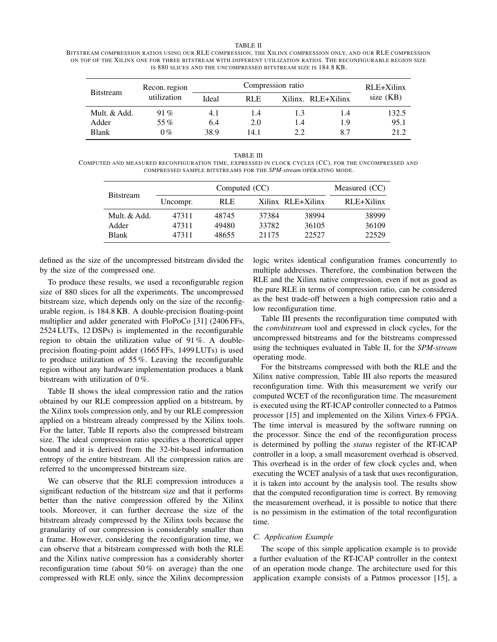#### TABLE II

BITSTREAM COMPRESSION RATIOS USING OUR RLE COMPRESSION, THE XILINX COMPRESSION ONLY, AND OUR RLE COMPRESSION ON TOP OF THE XILINX ONE FOR THREE BITSTREAM WITH DIFFERENT UTILIZATION RATIOS. THE RECONFIGURABLE REGION SIZE IS 880 SLICES AND THE UNCOMPRESSED BITSTREAM SIZE IS 184.8 KB.

| Bitstream    | Recon. region<br>utilization |       | $RLE+X$ ilinx |     |                    |             |
|--------------|------------------------------|-------|---------------|-----|--------------------|-------------|
|              |                              | Ideal | RLE.          |     | Xilinx. RLE+Xilinx | size $(KB)$ |
| Mult. & Add. | 91%                          | 4. I  | 1.4           | 1.3 | 1.4                | 132.5       |
| Adder        | 55%                          | 6.4   | 2.0           | 1.4 | 1.9                | 95.1        |
| <b>Blank</b> | $0\%$                        | 38.9  | 14.1          | 2.2 | 8.7                | 21.2        |

#### TABLE III

COMPUTED AND MEASURED RECONFIGURATION TIME, EXPRESSED IN CLOCK CYCLES (CC), FOR THE UNCOMPRESSED AND COMPRESSED SAMPLE BITSTREAMS FOR THE *SPM-stream* OPERATING MODE.

| <b>Bitstream</b> |          | Measured (CC) |       |                   |                 |
|------------------|----------|---------------|-------|-------------------|-----------------|
|                  | Uncompr. | RLE.          |       | Xilinx RLE+Xilinx | $RLE + X$ ilinx |
| Mult. & Add.     | 47311    | 48745         | 37384 | 38994             | 38999           |
| Adder            | 47311    | 49480         | 33782 | 36105             | 36109           |
| <b>Blank</b>     | 47311    | 48655         | 21175 | 22527             | 22529           |

defined as the size of the uncompressed bitstream divided the by the size of the compressed one.

To produce these results, we used a reconfigurable region size of 880 slices for all the experiments. The uncompressed bitstream size, which depends only on the size of the reconfigurable region, is 184.8 KB. A double-precision floating-point multiplier and adder generated with FloPoCo [31] (2406 FFs, 2524 LUTs, 12 DSPs) is implemented in the reconfigurable region to obtain the utilization value of 91 %. A doubleprecision floating-point adder (1665 FFs, 1499 LUTs) is used to produce utilization of 55 %. Leaving the reconfigurable region without any hardware implementation produces a blank bitstream with utilization of 0 %.

Table II shows the ideal compression ratio and the ratios obtained by our RLE compression applied on a bitstream, by the Xilinx tools compression only, and by our RLE compression applied on a bitstream already compressed by the Xilinx tools. For the latter, Table II reports also the compressed bitstream size. The ideal compression ratio specifies a theoretical upper bound and it is derived from the 32-bit-based information entropy of the entire bitstream. All the compression ratios are referred to the uncompressed bitstream size.

We can observe that the RLE compression introduces a significant reduction of the bitstream size and that it performs better than the native compression offered by the Xilinx tools. Moreover, it can further decrease the size of the bitstream already compressed by the Xilinx tools because the granularity of our compression is considerably smaller than a frame. However, considering the reconfiguration time, we can observe that a bitstream compressed with both the RLE and the Xilinx native compression has a considerably shorter reconfiguration time (about 50 % on average) than the one compressed with RLE only, since the Xilinx decompression logic writes identical configuration frames concurrently to multiple addresses. Therefore, the combination between the RLE and the Xilinx native compression, even if not as good as the pure RLE in terms of compression ratio, can be considered as the best trade-off between a high compression ratio and a low reconfiguration time.

Table III presents the reconfiguration time computed with the *convbitstream* tool and expressed in clock cycles, for the uncompressed bitstreams and for the bitstreams compressed using the techniques evaluated in Table II, for the *SPM-stream* operating mode.

For the bitstreams compressed with both the RLE and the Xilinx native compression, Table III also reports the measured reconfiguration time. With this measurement we verify our computed WCET of the reconfiguration time. The measurement is executed using the RT-ICAP controller connected to a Patmos processor [15] and implemented on the Xilinx Virtex-6 FPGA. The time interval is measured by the software running on the processor. Since the end of the reconfiguration process is determined by polling the *status* register of the RT-ICAP controller in a loop, a small measurement overhead is observed. This overhead is in the order of few clock cycles and, when executing the WCET analysis of a task that uses reconfiguration, it is taken into account by the analysis tool. The results show that the computed reconfiguration time is correct. By removing the measurement overhead, it is possible to notice that there is no pessimism in the estimation of the total reconfiguration time.

#### *C. Application Example*

The scope of this simple application example is to provide a further evaluation of the RT-ICAP controller in the context of an operation mode change. The architecture used for this application example consists of a Patmos processor [15], a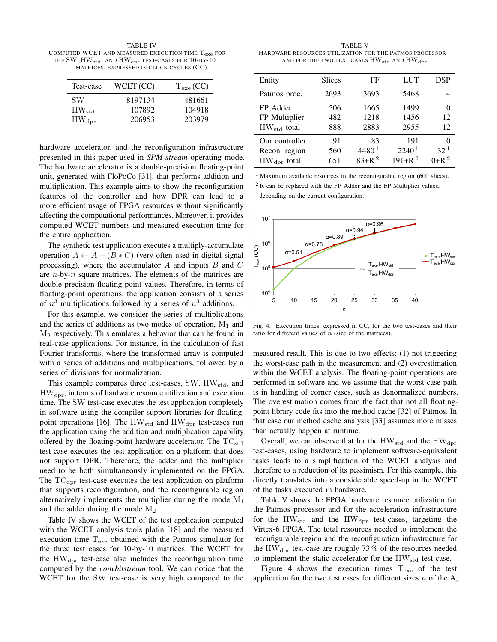TABLE IV COMPUTED WCET AND MEASURED EXECUTION TIME Texe FOR THE SW,  $\rm HW_{std},$  and  $\rm HW_{dpr}$  test-cases for 10-by-10 MATRICES, EXPRESSED IN CLOCK CYCLES (CC).

| Test-case      | WCET (CC) | $T_{\rm exc}$ (CC) |
|----------------|-----------|--------------------|
| SW             | 8197134   | 481661             |
| $HW_{std}$     | 107892    | 104918             |
| $HW_{\rm dpr}$ | 206953    | 203979             |

hardware accelerator, and the reconfiguration infrastructure presented in this paper used in *SPM-stream* operating mode. The hardware accelerator is a double-precision floating-point unit, generated with FloPoCo [31], that performs addition and multiplication. This example aims to show the reconfiguration features of the controller and how DPR can lead to a more efficient usage of FPGA resources without significantly affecting the computational performances. Moreover, it provides computed WCET numbers and measured execution time for the entire application.

The synthetic test application executes a multiply-accumulate operation  $A \leftarrow A + (B * C)$  (very often used in digital signal processing), where the accumulator  $A$  and inputs  $B$  and  $C$ are  $n$ -by- $n$  square matrices. The elements of the matrices are double-precision floating-point values. Therefore, in terms of floating-point operations, the application consists of a series of  $n^3$  multiplications followed by a series of  $n^3$  additions.

For this example, we consider the series of multiplications and the series of additions as two modes of operation,  $M_1$  and M<sup>2</sup> respectively. This emulates a behavior that can be found in real-case applications. For instance, in the calculation of fast Fourier transforms, where the transformed array is computed with a series of additions and multiplications, followed by a series of divisions for normalization.

This example compares three test-cases, SW, HWstd, and  $HW_{\text{dpr}}$ , in terms of hardware resource utilization and execution time. The SW test-case executes the test application completely in software using the compiler support libraries for floatingpoint operations [16]. The  $HW_{std}$  and  $HW_{dpr}$  test-cases run the application using the addition and multiplication capability offered by the floating-point hardware accelerator. The  $TC_{std}$ test-case executes the test application on a platform that does not support DPR. Therefore, the adder and the multiplier need to be both simultaneously implemented on the FPGA. The  $TC<sub>dpr</sub>$  test-case executes the test application on platform that supports reconfiguration, and the reconfigurable region alternatively implements the multiplier during the mode  $M_1$ and the adder during the mode  $M_2$ .

Table IV shows the WCET of the test application computed with the WCET analysis tools platin [18] and the measured execution time  $T_{\text{exe}}$  obtained with the Patmos simulator for the three test cases for 10-by-10 matrices. The WCET for the  $HW_{\text{dpr}}$  test-case also includes the reconfiguration time computed by the *convbitstream* tool. We can notice that the WCET for the SW test-case is very high compared to the

TABLE V HARDWARE RESOURCES UTILIZATION FOR THE PATMOS PROCESSOR AND FOR THE TWO TEST CASES  $HW_{std}$  AND  $HW_{dpr}$ .

| Entity                  | Slices | FF                | LUT         | <b>DSP</b> |
|-------------------------|--------|-------------------|-------------|------------|
| Patmos proc.            | 2693   | 3693              | 5468        |            |
| FP Adder                | 506    | 1665              | 1499        | 0          |
| FP Multiplier           | 482    | 1218              | 1456        | 12         |
| HW <sub>std</sub> total | 888    | 2883              | 2955        | 12         |
| Our controller          | 91     | 83                | 191         |            |
| Recon. region           | 560    | 4480 <sup>1</sup> | $2240^1$    | $32^{1}$   |
| $HW_{\text{dpr}}$ total | 651    | $83 + R^2$        | $191 + R^2$ | $0+R^2$    |
|                         |        |                   |             |            |

<sup>1</sup> Maximum available resources in the reconfigurable region (600 slices).

 $2 R$  can be replaced with the FP Adder and the FP Multiplier values, depending on the current configuration.



Fig. 4. Execution times, expressed in CC, for the two test-cases and their ratio for different values of  $n$  (size of the matrices).

measured result. This is due to two effects: (1) not triggering the worst-case path in the measurement and (2) overestimation within the WCET analysis. The floating-point operations are performed in software and we assume that the worst-case path is in handling of corner cases, such as denormalized numbers. The overestimation comes from the fact that not all floatingpoint library code fits into the method cache [32] of Patmos. In that case our method cache analysis [33] assumes more misses than actually happen at runtime.

Overall, we can observe that for the  $HW_{std}$  and the  $HW_{dpr}$ test-cases, using hardware to implement software-equivalent tasks leads to a simplification of the WCET analysis and therefore to a reduction of its pessimism. For this example, this directly translates into a considerable speed-up in the WCET of the tasks executed in hardware.

Table V shows the FPGA hardware resource utilization for the Patmos processor and for the acceleration infrastructure for the  $HW_{std}$  and the  $HW_{dpr}$  test-cases, targeting the Virtex-6 FPGA. The total resources needed to implement the reconfigurable region and the reconfiguration infrastructure for the  $HW_{\text{dpr}}$  test-case are roughly 73% of the resources needed to implement the static accelerator for the  $HW<sub>std</sub>$  test-case.

Figure 4 shows the execution times  $T_{\text{exe}}$  of the test application for the two test cases for different sizes  $n$  of the A,